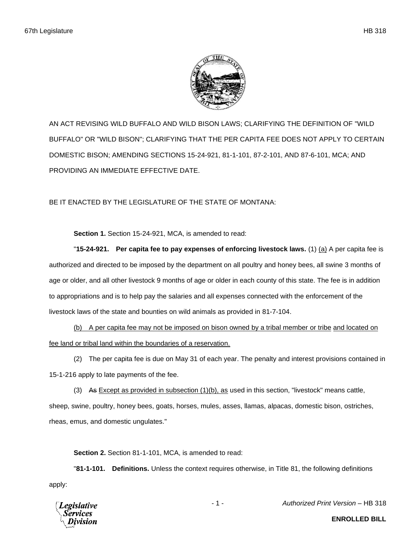

AN ACT REVISING WILD BUFFALO AND WILD BISON LAWS; CLARIFYING THE DEFINITION OF "WILD BUFFALO" OR "WILD BISON"; CLARIFYING THAT THE PER CAPITA FEE DOES NOT APPLY TO CERTAIN DOMESTIC BISON; AMENDING SECTIONS 15-24-921, 81-1-101, 87-2-101, AND 87-6-101, MCA; AND PROVIDING AN IMMEDIATE EFFECTIVE DATE.

BE IT ENACTED BY THE LEGISLATURE OF THE STATE OF MONTANA:

**Section 1.** Section 15-24-921, MCA, is amended to read:

"**15-24-921. Per capita fee to pay expenses of enforcing livestock laws.** (1) (a) A per capita fee is authorized and directed to be imposed by the department on all poultry and honey bees, all swine 3 months of age or older, and all other livestock 9 months of age or older in each county of this state. The fee is in addition to appropriations and is to help pay the salaries and all expenses connected with the enforcement of the livestock laws of the state and bounties on wild animals as provided in 81-7-104.

(b) A per capita fee may not be imposed on bison owned by a tribal member or tribe and located on fee land or tribal land within the boundaries of a reservation.

(2) The per capita fee is due on May 31 of each year. The penalty and interest provisions contained in 15-1-216 apply to late payments of the fee.

(3) As  $\equiv$  xcept as provided in subsection  $(1)(b)$ , as used in this section, "livestock" means cattle, sheep, swine, poultry, honey bees, goats, horses, mules, asses, llamas, alpacas, domestic bison, ostriches, rheas, emus, and domestic ungulates."

**Section 2.** Section 81-1-101, MCA, is amended to read:

"**81-1-101. Definitions.** Unless the context requires otherwise, in Title 81, the following definitions apply:



- 1 - *Authorized Print Version* – HB 318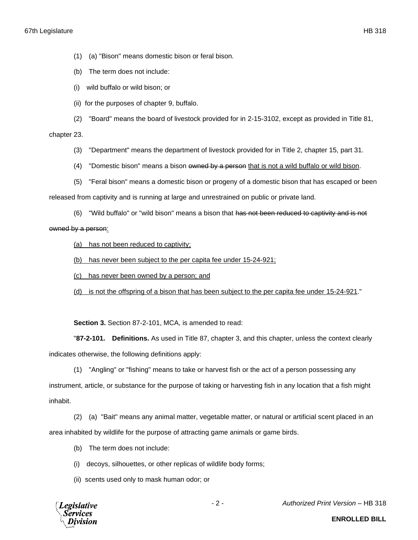- (1) (a) "Bison" means domestic bison or feral bison.
- (b) The term does not include:
- (i) wild buffalo or wild bison; or
- (ii) for the purposes of chapter 9, buffalo.

(2) "Board" means the board of livestock provided for in 2-15-3102, except as provided in Title 81,

## chapter 23.

- (3) "Department" means the department of livestock provided for in Title 2, chapter 15, part 31.
- (4) "Domestic bison" means a bison owned by a person that is not a wild buffalo or wild bison.
- (5) "Feral bison" means a domestic bison or progeny of a domestic bison that has escaped or been

released from captivity and is running at large and unrestrained on public or private land.

(6) "Wild buffalo" or "wild bison" means a bison that has not been reduced to captivity and is not

## owned by a person:

- (a) has not been reduced to captivity;
- (b) has never been subject to the per capita fee under 15-24-921;
- (c) has never been owned by a person; and
- (d) is not the offspring of a bison that has been subject to the per capita fee under 15-24-921."

**Section 3.** Section 87-2-101, MCA, is amended to read:

"**87-2-101. Definitions.** As used in Title 87, chapter 3, and this chapter, unless the context clearly indicates otherwise, the following definitions apply:

(1) "Angling" or "fishing" means to take or harvest fish or the act of a person possessing any

instrument, article, or substance for the purpose of taking or harvesting fish in any location that a fish might inhabit.

(2) (a) "Bait" means any animal matter, vegetable matter, or natural or artificial scent placed in an area inhabited by wildlife for the purpose of attracting game animals or game birds.

- (b) The term does not include:
- (i) decoys, silhouettes, or other replicas of wildlife body forms;
- (ii) scents used only to mask human odor; or

**Legislative Services** Division

- 2 - *Authorized Print Version* – HB 318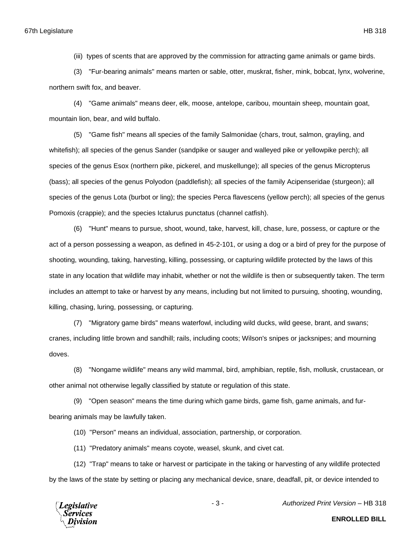(iii) types of scents that are approved by the commission for attracting game animals or game birds.

(3) "Fur-bearing animals" means marten or sable, otter, muskrat, fisher, mink, bobcat, lynx, wolverine, northern swift fox, and beaver.

(4) "Game animals" means deer, elk, moose, antelope, caribou, mountain sheep, mountain goat, mountain lion, bear, and wild buffalo.

(5) "Game fish" means all species of the family Salmonidae (chars, trout, salmon, grayling, and whitefish); all species of the genus Sander (sandpike or sauger and walleyed pike or yellowpike perch); all species of the genus Esox (northern pike, pickerel, and muskellunge); all species of the genus Micropterus (bass); all species of the genus Polyodon (paddlefish); all species of the family Acipenseridae (sturgeon); all species of the genus Lota (burbot or ling); the species Perca flavescens (yellow perch); all species of the genus Pomoxis (crappie); and the species Ictalurus punctatus (channel catfish).

(6) "Hunt" means to pursue, shoot, wound, take, harvest, kill, chase, lure, possess, or capture or the act of a person possessing a weapon, as defined in 45-2-101, or using a dog or a bird of prey for the purpose of shooting, wounding, taking, harvesting, killing, possessing, or capturing wildlife protected by the laws of this state in any location that wildlife may inhabit, whether or not the wildlife is then or subsequently taken. The term includes an attempt to take or harvest by any means, including but not limited to pursuing, shooting, wounding, killing, chasing, luring, possessing, or capturing.

(7) "Migratory game birds" means waterfowl, including wild ducks, wild geese, brant, and swans; cranes, including little brown and sandhill; rails, including coots; Wilson's snipes or jacksnipes; and mourning doves.

(8) "Nongame wildlife" means any wild mammal, bird, amphibian, reptile, fish, mollusk, crustacean, or other animal not otherwise legally classified by statute or regulation of this state.

(9) "Open season" means the time during which game birds, game fish, game animals, and furbearing animals may be lawfully taken.

(10) "Person" means an individual, association, partnership, or corporation.

(11) "Predatory animals" means coyote, weasel, skunk, and civet cat.

(12) "Trap" means to take or harvest or participate in the taking or harvesting of any wildlife protected by the laws of the state by setting or placing any mechanical device, snare, deadfall, pit, or device intended to

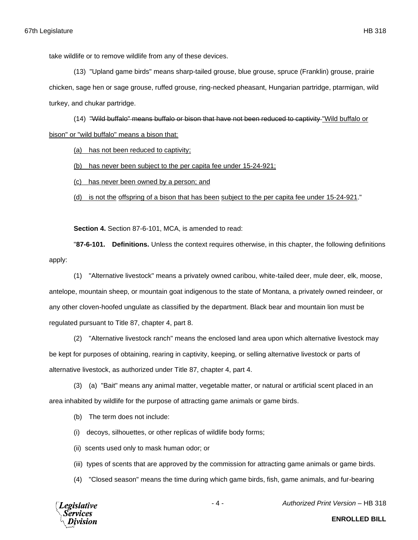take wildlife or to remove wildlife from any of these devices.

(13) "Upland game birds" means sharp-tailed grouse, blue grouse, spruce (Franklin) grouse, prairie chicken, sage hen or sage grouse, ruffed grouse, ring-necked pheasant, Hungarian partridge, ptarmigan, wild turkey, and chukar partridge.

(14) "Wild buffalo" means buffalo or bison that have not been reduced to captivity "Wild buffalo or bison" or "wild buffalo" means a bison that:

(a) has not been reduced to captivity;

(b) has never been subject to the per capita fee under 15-24-921;

(c) has never been owned by a person; and

(d) is not the offspring of a bison that has been subject to the per capita fee under 15-24-921."

**Section 4.** Section 87-6-101, MCA, is amended to read:

"**87-6-101. Definitions.** Unless the context requires otherwise, in this chapter, the following definitions apply:

(1) "Alternative livestock" means a privately owned caribou, white-tailed deer, mule deer, elk, moose, antelope, mountain sheep, or mountain goat indigenous to the state of Montana, a privately owned reindeer, or any other cloven-hoofed ungulate as classified by the department. Black bear and mountain lion must be regulated pursuant to Title 87, chapter 4, part 8.

(2) "Alternative livestock ranch" means the enclosed land area upon which alternative livestock may be kept for purposes of obtaining, rearing in captivity, keeping, or selling alternative livestock or parts of alternative livestock, as authorized under Title 87, chapter 4, part 4.

(3) (a) "Bait" means any animal matter, vegetable matter, or natural or artificial scent placed in an area inhabited by wildlife for the purpose of attracting game animals or game birds.

(b) The term does not include:

(i) decoys, silhouettes, or other replicas of wildlife body forms;

(ii) scents used only to mask human odor; or

(iii) types of scents that are approved by the commission for attracting game animals or game birds.

(4) "Closed season" means the time during which game birds, fish, game animals, and fur-bearing



- 4 - *Authorized Print Version* – HB 318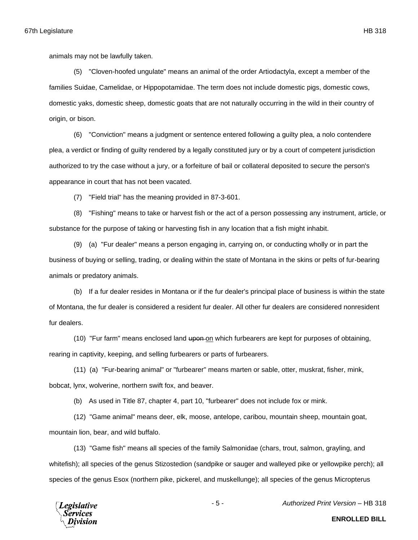animals may not be lawfully taken.

(5) "Cloven-hoofed ungulate" means an animal of the order Artiodactyla, except a member of the families Suidae, Camelidae, or Hippopotamidae. The term does not include domestic pigs, domestic cows, domestic yaks, domestic sheep, domestic goats that are not naturally occurring in the wild in their country of origin, or bison.

(6) "Conviction" means a judgment or sentence entered following a guilty plea, a nolo contendere plea, a verdict or finding of guilty rendered by a legally constituted jury or by a court of competent jurisdiction authorized to try the case without a jury, or a forfeiture of bail or collateral deposited to secure the person's appearance in court that has not been vacated.

(7) "Field trial" has the meaning provided in 87-3-601.

(8) "Fishing" means to take or harvest fish or the act of a person possessing any instrument, article, or substance for the purpose of taking or harvesting fish in any location that a fish might inhabit.

(9) (a) "Fur dealer" means a person engaging in, carrying on, or conducting wholly or in part the business of buying or selling, trading, or dealing within the state of Montana in the skins or pelts of fur-bearing animals or predatory animals.

(b) If a fur dealer resides in Montana or if the fur dealer's principal place of business is within the state of Montana, the fur dealer is considered a resident fur dealer. All other fur dealers are considered nonresident fur dealers.

(10) "Fur farm" means enclosed land upon on which furbearers are kept for purposes of obtaining, rearing in captivity, keeping, and selling furbearers or parts of furbearers.

(11) (a) "Fur-bearing animal" or "furbearer" means marten or sable, otter, muskrat, fisher, mink, bobcat, lynx, wolverine, northern swift fox, and beaver.

(b) As used in Title 87, chapter 4, part 10, "furbearer" does not include fox or mink.

(12) "Game animal" means deer, elk, moose, antelope, caribou, mountain sheep, mountain goat, mountain lion, bear, and wild buffalo.

(13) "Game fish" means all species of the family Salmonidae (chars, trout, salmon, grayling, and whitefish); all species of the genus Stizostedion (sandpike or sauger and walleyed pike or yellowpike perch); all species of the genus Esox (northern pike, pickerel, and muskellunge); all species of the genus Micropterus



- 5 - *Authorized Print Version* – HB 318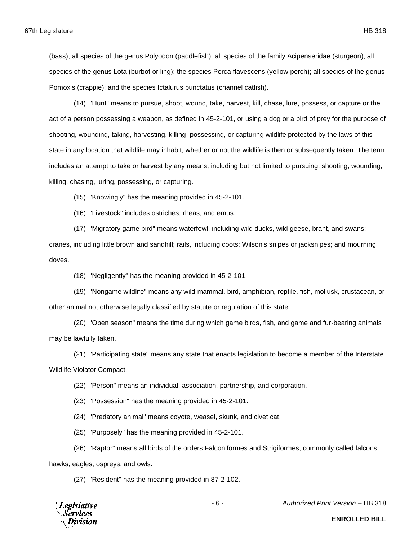(bass); all species of the genus Polyodon (paddlefish); all species of the family Acipenseridae (sturgeon); all species of the genus Lota (burbot or ling); the species Perca flavescens (yellow perch); all species of the genus Pomoxis (crappie); and the species Ictalurus punctatus (channel catfish).

(14) "Hunt" means to pursue, shoot, wound, take, harvest, kill, chase, lure, possess, or capture or the act of a person possessing a weapon, as defined in 45-2-101, or using a dog or a bird of prey for the purpose of shooting, wounding, taking, harvesting, killing, possessing, or capturing wildlife protected by the laws of this state in any location that wildlife may inhabit, whether or not the wildlife is then or subsequently taken. The term includes an attempt to take or harvest by any means, including but not limited to pursuing, shooting, wounding, killing, chasing, luring, possessing, or capturing.

(15) "Knowingly" has the meaning provided in 45-2-101.

(16) "Livestock" includes ostriches, rheas, and emus.

(17) "Migratory game bird" means waterfowl, including wild ducks, wild geese, brant, and swans; cranes, including little brown and sandhill; rails, including coots; Wilson's snipes or jacksnipes; and mourning doves.

(18) "Negligently" has the meaning provided in 45-2-101.

(19) "Nongame wildlife" means any wild mammal, bird, amphibian, reptile, fish, mollusk, crustacean, or other animal not otherwise legally classified by statute or regulation of this state.

(20) "Open season" means the time during which game birds, fish, and game and fur-bearing animals may be lawfully taken.

(21) "Participating state" means any state that enacts legislation to become a member of the Interstate Wildlife Violator Compact.

(22) "Person" means an individual, association, partnership, and corporation.

(23) "Possession" has the meaning provided in 45-2-101.

(24) "Predatory animal" means coyote, weasel, skunk, and civet cat.

(25) "Purposely" has the meaning provided in 45-2-101.

(26) "Raptor" means all birds of the orders Falconiformes and Strigiformes, commonly called falcons,

hawks, eagles, ospreys, and owls.

(27) "Resident" has the meaning provided in 87-2-102.



- 6 - *Authorized Print Version* – HB 318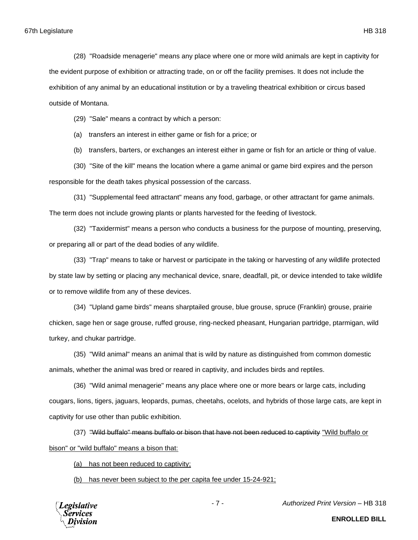(28) "Roadside menagerie" means any place where one or more wild animals are kept in captivity for the evident purpose of exhibition or attracting trade, on or off the facility premises. It does not include the exhibition of any animal by an educational institution or by a traveling theatrical exhibition or circus based outside of Montana.

(29) "Sale" means a contract by which a person:

(a) transfers an interest in either game or fish for a price; or

(b) transfers, barters, or exchanges an interest either in game or fish for an article or thing of value.

(30) "Site of the kill" means the location where a game animal or game bird expires and the person responsible for the death takes physical possession of the carcass.

(31) "Supplemental feed attractant" means any food, garbage, or other attractant for game animals. The term does not include growing plants or plants harvested for the feeding of livestock.

(32) "Taxidermist" means a person who conducts a business for the purpose of mounting, preserving, or preparing all or part of the dead bodies of any wildlife.

(33) "Trap" means to take or harvest or participate in the taking or harvesting of any wildlife protected by state law by setting or placing any mechanical device, snare, deadfall, pit, or device intended to take wildlife or to remove wildlife from any of these devices.

(34) "Upland game birds" means sharptailed grouse, blue grouse, spruce (Franklin) grouse, prairie chicken, sage hen or sage grouse, ruffed grouse, ring-necked pheasant, Hungarian partridge, ptarmigan, wild turkey, and chukar partridge.

(35) "Wild animal" means an animal that is wild by nature as distinguished from common domestic animals, whether the animal was bred or reared in captivity, and includes birds and reptiles.

(36) "Wild animal menagerie" means any place where one or more bears or large cats, including cougars, lions, tigers, jaguars, leopards, pumas, cheetahs, ocelots, and hybrids of those large cats, are kept in captivity for use other than public exhibition.

(37) "Wild buffalo" means buffalo or bison that have not been reduced to captivity "Wild buffalo or bison" or "wild buffalo" means a bison that:

(a) has not been reduced to captivity;

(b) has never been subject to the per capita fee under 15-24-921;



- 7 - *Authorized Print Version* – HB 318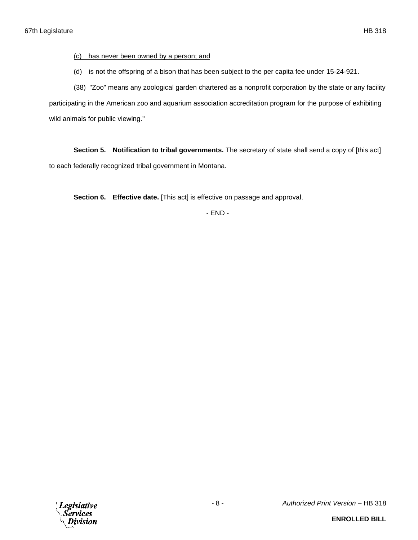(c) has never been owned by a person; and

(d) is not the offspring of a bison that has been subject to the per capita fee under 15-24-921.

(38) "Zoo" means any zoological garden chartered as a nonprofit corporation by the state or any facility participating in the American zoo and aquarium association accreditation program for the purpose of exhibiting wild animals for public viewing."

**Section 5. Notification to tribal governments.** The secretary of state shall send a copy of [this act] to each federally recognized tribal government in Montana.

**Section 6. Effective date.** [This act] is effective on passage and approval.

- END -

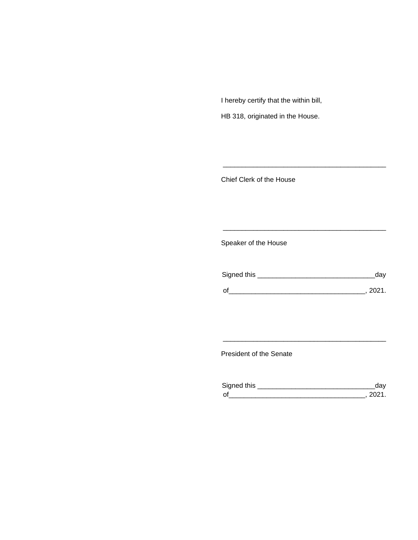I hereby certify that the within bill,

HB 318, originated in the House.

Chief Clerk of the House

Speaker of the House

| Signed this | dav    |
|-------------|--------|
| $\Omega$    | - 2021 |

\_\_\_\_\_\_\_\_\_\_\_\_\_\_\_\_\_\_\_\_\_\_\_\_\_\_\_\_\_\_\_\_\_\_\_\_\_\_\_\_\_\_\_

\_\_\_\_\_\_\_\_\_\_\_\_\_\_\_\_\_\_\_\_\_\_\_\_\_\_\_\_\_\_\_\_\_\_\_\_\_\_\_\_\_\_\_

President of the Senate

| Sianed this |  |
|-------------|--|
| $\Omega$    |  |

\_\_\_\_\_\_\_\_\_\_\_\_\_\_\_\_\_\_\_\_\_\_\_\_\_\_\_\_\_\_\_\_\_\_\_\_\_\_\_\_\_\_\_